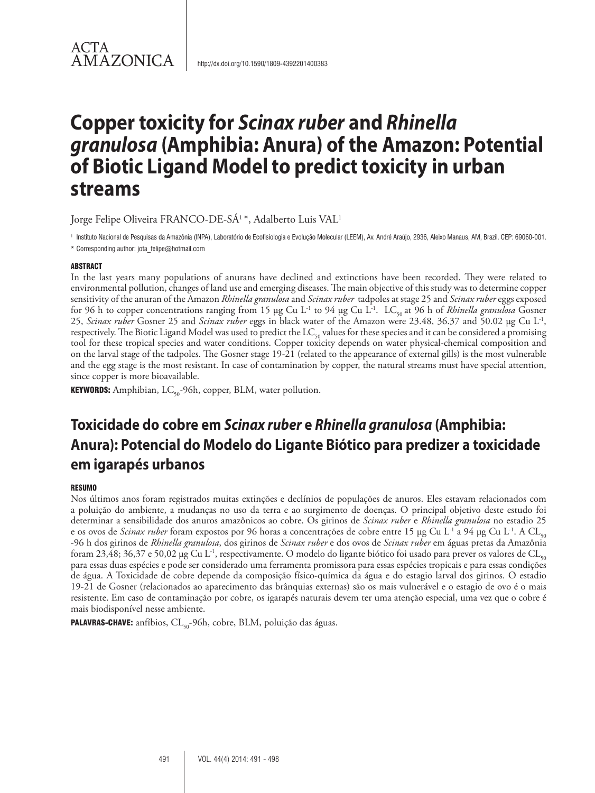## ACTA **AMAZONICA**

# **Copper toxicity for** *Scinax ruber* **and** *Rhinella granulosa* **(Amphibia: Anura) of the Amazon: Potential of Biotic Ligand Model to predict toxicity in urban streams**

Jorge Felipe Oliveira FRANCO-DE-SÁ<sup>1</sup>\*, Adalberto Luis VAL<sup>1</sup>

<sup>1</sup> Instituto Nacional de Pesquisas da Amazônia (INPA), Laboratório de Ecofisiologia e Evolução Molecular (LEEM), Av. André Araújo, 2936, Aleixo Manaus, AM, Brazil. CEP: 69060-001.

\* Corresponding author: jota\_felipe@hotmail.com

#### ABSTRACT

In the last years many populations of anurans have declined and extinctions have been recorded. They were related to environmental pollution, changes of land use and emerging diseases. The main objective of this study was to determine copper sensitivity of the anuran of the Amazon *Rhinella granulosa* and *Scinax ruber* tadpoles at stage 25 and *Scinax ruber* eggs exposed for 96 h to copper concentrations ranging from 15 µg Cu L<sup>-1</sup> to 94 µg Cu L<sup>-1</sup>. LC<sub>50</sub> at 96 h of *Rhinella granulosa* Gosner 25, *Scinax ruber* Gosner 25 and *Scinax ruber* eggs in black water of the Amazon were 23.48, 36.37 and 50.02 µg Cu L-1, respectively. The Biotic Ligand Model was used to predict the  $LC_{50}$  values for these species and it can be considered a promising tool for these tropical species and water conditions. Copper toxicity depends on water physical-chemical composition and on the larval stage of the tadpoles. The Gosner stage 19-21 (related to the appearance of external gills) is the most vulnerable and the egg stage is the most resistant. In case of contamination by copper, the natural streams must have special attention, since copper is more bioavailable.

**KEYWORDS:** Amphibian,  $LC_{50}$ -96h, copper, BLM, water pollution.

## **Toxicidade do cobre em** *Scinax ruber* **e** *Rhinella granulosa* **(Amphibia: Anura): Potencial do Modelo do Ligante Biótico para predizer a toxicidade em igarapés urbanos**

#### RESUMO

Nos últimos anos foram registrados muitas extinções e declínios de populações de anuros. Eles estavam relacionados com a poluição do ambiente, a mudanças no uso da terra e ao surgimento de doenças. O principal objetivo deste estudo foi determinar a sensibilidade dos anuros amazônicos ao cobre. Os girinos de *Scinax ruber* e *Rhinella granulosa* no estadio 25 e os ovos de *Scinax ruber* foram expostos por 96 horas a concentrações de cobre entre 15 µg Cu L<sup>-1</sup> a 94 µg Cu L<sup>-1</sup>. A CL<sub>50</sub> -96 h dos girinos de *Rhinella granulosa*, dos girinos de *Scinax ruber* e dos ovos de *Scinax ruber* em águas pretas da Amazônia foram 23,48; 36,37 e 50,02 µg Cu L<sup>-1</sup>, respectivamente. O modelo do ligante biótico foi usado para prever os valores de CL<sub>50</sub> para essas duas espécies e pode ser considerado uma ferramenta promissora para essas espécies tropicais e para essas condições de água. A Toxicidade de cobre depende da composição físico-química da água e do estagio larval dos girinos. O estadio 19-21 de Gosner (relacionados ao aparecimento das brânquias externas) são os mais vulnerável e o estagio de ovo é o mais resistente. Em caso de contaminação por cobre, os igarapés naturais devem ter uma atenção especial, uma vez que o cobre é mais biodisponível nesse ambiente.

PALAVRAS-CHAVE: anfíbios, CL<sub>50</sub>-96h, cobre, BLM, poluição das águas.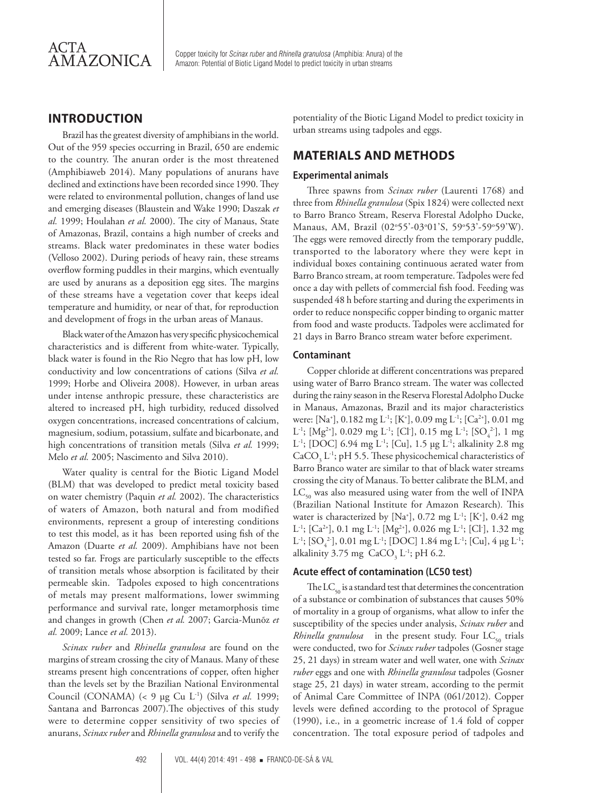

Copper toxicity for *Scinax ruber* and *Rhinella granulosa* (Amphibia: Anura) of the Amazon: Potential of Biotic Ligand Model to predict toxicity in urban streams

## **INTRODUCTION**

Brazil has the greatest diversity of amphibians in the world. Out of the 959 species occurring in Brazil, 650 are endemic to the country. The anuran order is the most threatened (Amphibiaweb 2014). Many populations of anurans have declined and extinctions have been recorded since 1990. They were related to environmental pollution, changes of land use and emerging diseases (Blaustein and Wake 1990; Daszak *et al.* 1999; Houlahan *et al.* 2000). The city of Manaus, State of Amazonas, Brazil, contains a high number of creeks and streams. Black water predominates in these water bodies (Velloso 2002). During periods of heavy rain, these streams overflow forming puddles in their margins, which eventually are used by anurans as a deposition egg sites. The margins of these streams have a vegetation cover that keeps ideal temperature and humidity, or near of that, for reproduction and development of frogs in the urban areas of Manaus.

Black water of the Amazon has very specific physicochemical characteristics and is different from white-water. Typically, black water is found in the Rio Negro that has low pH, low conductivity and low concentrations of cations (Silva *et al.* 1999; Horbe and Oliveira 2008). However, in urban areas under intense anthropic pressure, these characteristics are altered to increased pH, high turbidity, reduced dissolved oxygen concentrations, increased concentrations of calcium, magnesium, sodium, potassium, sulfate and bicarbonate, and high concentrations of transition metals (Silva *et al.* 1999; Melo *et al.* 2005; Nascimento and Silva 2010).

Water quality is central for the Biotic Ligand Model (BLM) that was developed to predict metal toxicity based on water chemistry (Paquin *et al.* 2002). The characteristics of waters of Amazon, both natural and from modified environments, represent a group of interesting conditions to test this model, as it has been reported using fish of the Amazon (Duarte *et al.* 2009). Amphibians have not been tested so far. Frogs are particularly susceptible to the effects of transition metals whose absorption is facilitated by their permeable skin. Tadpoles exposed to high concentrations of metals may present malformations, lower swimming performance and survival rate, longer metamorphosis time and changes in growth (Chen *et al.* 2007; Garcia-Munõz *et al.* 2009; Lance *et al.* 2013).

*Scinax ruber* and *Rhinella granulosa* are found on the margins of stream crossing the city of Manaus. Many of these streams present high concentrations of copper, often higher than the levels set by the Brazilian National Environmental Council (CONAMA) (< 9 µg Cu L-1) (Silva *et al.* 1999; Santana and Barroncas 2007).The objectives of this study were to determine copper sensitivity of two species of anurans, *Scinax ruber* and *Rhinella granulosa* and to verify the

potentiality of the Biotic Ligand Model to predict toxicity in urban streams using tadpoles and eggs.

## **MATERIALS AND METHODS**

#### **Experimental animals**

Three spawns from *Scinax ruber* (Laurenti 1768) and three from *Rhinella granulosa* (Spix 1824) were collected next to Barro Branco Stream, Reserva Florestal Adolpho Ducke, Manaus, AM, Brazil (02°55'-03°01'S, 59°53'-59°59'W). The eggs were removed directly from the temporary puddle, transported to the laboratory where they were kept in individual boxes containing continuous aerated water from Barro Branco stream, at room temperature. Tadpoles were fed once a day with pellets of commercial fish food. Feeding was suspended 48 h before starting and during the experiments in order to reduce nonspecific copper binding to organic matter from food and waste products. Tadpoles were acclimated for 21 days in Barro Branco stream water before experiment.

#### **Contaminant**

Copper chloride at different concentrations was prepared using water of Barro Branco stream. The water was collected during the rainy season in the Reserva Florestal Adolpho Ducke in Manaus, Amazonas, Brazil and its major characteristics were: [Na<sup>+</sup>], 0.182 mg L<sup>-1</sup>; [K<sup>+</sup>], 0.09 mg L<sup>-1</sup>; [Ca<sup>2+</sup>], 0.01 mg L<sup>-1</sup>; [Mg<sup>2+</sup>], 0.029 mg L<sup>-1</sup>; [Cl<sup>-</sup>], 0.15 mg L<sup>-1</sup>; [SO<sub>4</sub><sup>2</sup><sup>-</sup>], 1 mg L<sup>-1</sup>; [DOC] 6.94 mg L<sup>-1</sup>; [Cu], 1.5 µg L<sup>-1</sup>; alkalinity 2.8 mg  $CaCO<sub>3</sub> L<sup>-1</sup>$ ; pH 5.5. These physicochemical characteristics of Barro Branco water are similar to that of black water streams crossing the city of Manaus. To better calibrate the BLM, and  $LC_{50}$  was also measured using water from the well of INPA (Brazilian National Institute for Amazon Research)*.* This water is characterized by [Na<sup>+</sup>],  $0.72 \text{ mg L}^{-1}$ ; [K<sup>+</sup>],  $0.42 \text{ mg}$ L<sup>-1</sup>; [Ca<sup>2+</sup>], 0.1 mg L<sup>-1</sup>; [Mg<sup>2+</sup>], 0.026 mg L<sup>-1</sup>; [Cl<sup>-</sup>], 1.32 mg L<sup>-1</sup>; [SO<sub>4</sub><sup>2</sup>], 0.01 mg L<sup>-1</sup>; [DOC] 1.84 mg L<sup>-1</sup>; [Cu], 4 µg L<sup>-1</sup>; alkalinity 3.75 mg  $CaCO<sub>3</sub> L<sup>-1</sup>$ ; pH 6.2.

#### **Acute effect of contamination (LC50 test)**

The  $LC_{50}$  is a standard test that determines the concentration of a substance or combination of substances that causes 50% of mortality in a group of organisms, what allow to infer the susceptibility of the species under analysis, *Scinax ruber* and *Rhinella granulosa* in the present study. Four LC<sub>50</sub> trials were conducted, two for *Scinax ruber* tadpoles (Gosner stage 25, 21 days) in stream water and well water, one with *Scinax ruber* eggs and one with *Rhinella granulosa* tadpoles (Gosner stage 25, 21 days) in water stream, according to the permit of Animal Care Committee of INPA (061/2012). Copper levels were defined according to the protocol of Sprague (1990), i.e., in a geometric increase of 1.4 fold of copper concentration. The total exposure period of tadpoles and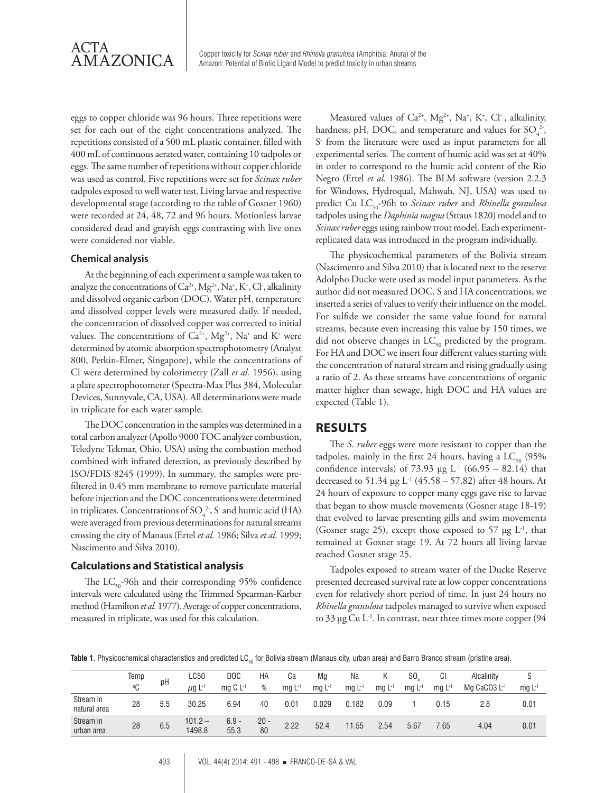

Copper toxicity for *Scinax ruber* and *Rhinella granulosa* (Amphibia: Anura) of the Amazon: Potential of Biotic Ligand Model to predict toxicity in urban streams

eggs to copper chloride was 96 hours. Three repetitions were set for each out of the eight concentrations analyzed. The repetitions consisted of a 500 mL plastic container, filled with 400 mL of continuous aerated water, containing 10 tadpoles or eggs. The same number of repetitions without copper chloride was used as control. Five repetitions were set for *Scinax ruber*  tadpoles exposed to well water test. Living larvae and respective developmental stage (according to the table of Gosner 1960) were recorded at 24, 48, 72 and 96 hours. Motionless larvae considered dead and grayish eggs contrasting with live ones were considered not viable.

#### **Chemical analysis**

At the beginning of each experiment a sample was taken to analyze the concentrations of  $Ca^{2+}$ ,  $Mg^{2+}$ , Na<sup>+</sup>, K<sup>+</sup>, Cl<sup>-</sup>, alkalinity and dissolved organic carbon (DOC). Water pH, temperature and dissolved copper levels were measured daily. If needed, the concentration of dissolved copper was corrected to initial values. The concentrations of Ca<sup>2+</sup>, Mg<sup>2+</sup>, Na<sup>+</sup> and K<sup>+</sup> were determined by atomic absorption spectrophotometry (Analyst 800, Perkin-Elmer, Singapore), while the concentrations of Cl- were determined by colorimetry (Zall *et al.* 1956), using a plate spectrophotometer (Spectra-Max Plus 384, Molecular Devices, Sunnyvale, CA, USA). All determinations were made in triplicate for each water sample.

The DOC concentration in the samples was determined in a total carbon analyzer (Apollo 9000 TOC analyzer combustion, Teledyne Tekmar, Ohio, USA) using the combustion method combined with infrared detection, as previously described by ISO/FDIS 8245 (1999). In summary, the samples were prefiltered in 0.45 mm membrane to remove particulate material before injection and the DOC concentrations were determined in triplicates. Concentrations of  $SO_4^2$ , S and humic acid (HA) were averaged from previous determinations for natural streams crossing the city of Manaus (Ertel *et al.* 1986; Silva *et al.* 1999; Nascimento and Silva 2010).

#### **Calculations and Statistical analysis**

The  $LC_{50}$ -96h and their corresponding 95% confidence intervals were calculated using the Trimmed Spearman-Karber method (Hamilton *et al.* 1977). Average of copper concentrations, measured in triplicate, was used for this calculation.

Measured values of  $Ca^{2+}$ ,  $Mg^{2+}$ , Na<sup>+</sup>, K<sup>+</sup>, Cl<sup>-</sup>, alkalinity, hardness, pH, DOC, and temperature and values for  $SO_4^2$ , S- from the literature were used as input parameters for all experimental series. The content of humic acid was set at 40% in order to correspond to the humic acid content of the Rio Negro (Ertel *et al.* 1986). The BLM software (version 2.2.3 for Windows, Hydroqual, Mahwah, NJ, USA) was used to predict Cu LC<sub>50</sub>-96h to *Scinax ruber* and *Rhinella granulosa* tadpoles using the *Daphinia magna* (Straus 1820) model and to *Scinax ruber* eggs using rainbow trout model. Each experimentreplicated data was introduced in the program individually.

The physicochemical parameters of the Bolivia stream (Nascimento and Silva 2010) that is located next to the reserve Adolpho Ducke were used as model input parameters. As the author did not measured DOC, S and HA concentrations, we inserted a series of values to verify their influence on the model. For sulfide we consider the same value found for natural streams, because even increasing this value by 150 times, we did not observe changes in  $LC_{50}$  predicted by the program. For HA and DOC we insert four different values starting with the concentration of natural stream and rising gradually using a ratio of 2. As these streams have concentrations of organic matter higher than sewage, high DOC and HA values are expected (Table 1).

#### **RESULTS**

The *S. ruber* eggs were more resistant to copper than the tadpoles, mainly in the first 24 hours, having a  $LC_{50}$  (95% confidence intervals) of 73.93 µg  $L<sup>-1</sup>$  (66.95 – 82.14) that decreased to 51.34 µg L<sup>-1</sup> (45.58 – 57.82) after 48 hours. At 24 hours of exposure to copper many eggs gave rise to larvae that began to show muscle movements (Gosner stage 18-19) that evolved to larvae presenting gills and swim movements (Gosner stage 25), except those exposed to 57  $\mu$ g L<sup>-1</sup>, that remained at Gosner stage 19. At 72 hours all living larvae reached Gosner stage 25.

Tadpoles exposed to stream water of the Ducke Reserve presented decreased survival rate at low copper concentrations even for relatively short period of time. In just 24 hours no *Rhinella granulosa* tadpoles managed to survive when exposed to 33 µg Cu L<sup>-1</sup>. In contrast, near three times more copper (94

Table 1. Physicochemical characteristics and predicted LC<sub>50</sub> for Bolivia stream (Manaus city, urban area) and Barro Branco stream (pristine area).

|                           | Temp | рH  | LC50                    | DOC             | HA           | Ca      | Mg      | Na    |                  | SO,     | CI         | Alcalinity     | č           |
|---------------------------|------|-----|-------------------------|-----------------|--------------|---------|---------|-------|------------------|---------|------------|----------------|-------------|
|                           | ∘C   |     | $\mu$ g L <sup>-1</sup> | $mq C L-1$      | %            | $mgL-1$ | $mgL-1$ | mgL   | mgL <sup>1</sup> | $mgL-1$ | $mq$ $L-1$ | Mg CaCO3 $L-1$ | mg $L^{-1}$ |
| Stream in<br>natural area | 28   | 5.5 | 30.25                   | 6.94            | 40           | 0.01    | 0.029   | 0.182 | 0.09             |         | 0.15       | 2.8            | 0.01        |
| Stream in<br>urban area   | 28   | 6.5 | $101.2 -$<br>1498.8     | $6.9 -$<br>55.3 | $20 -$<br>80 | 2.22    | 52.4    | 11.55 | 2.54             | 5.67    | 7.65       | 4.04           | 0.01        |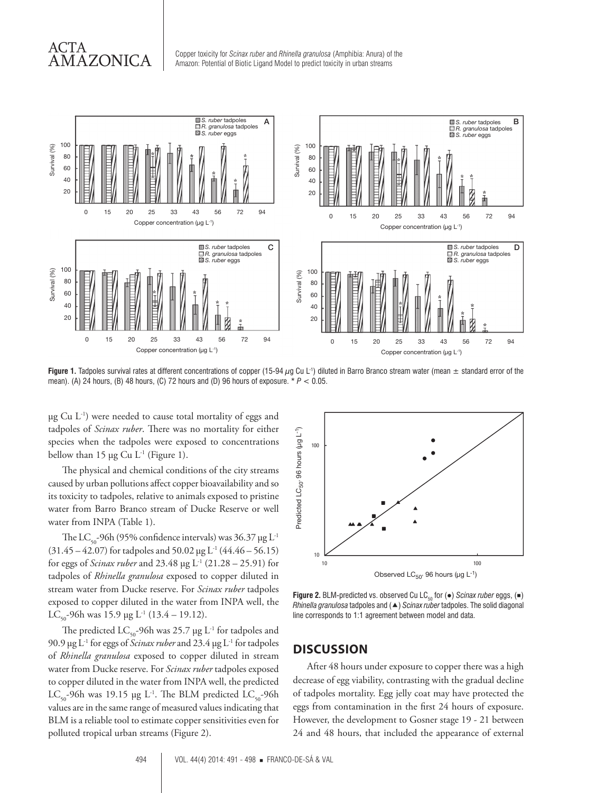## ACTA AMAZONICA

Copper toxicity for *Scinax ruber* and *Rhinella granulosa* (Amphibia: Anura) of the Amazon: Potential of Biotic Ligand Model to predict toxicity in urban streams



**Figure 1.** Tadpoles survival rates at different concentrations of copper (15-94  $\mu$ g Cu L<sup>-1</sup>) diluted in Barro Branco stream water (mean  $\pm$  standard error of the mean). (A) 24 hours, (B) 48 hours, (C) 72 hours and (D) 96 hours of exposure. \* *P* < 0.05.

µg Cu L-1) were needed to cause total mortality of eggs and tadpoles of *Scinax ruber*. There was no mortality for either species when the tadpoles were exposed to concentrations bellow than  $15 \mu g$  Cu L<sup>-1</sup> (Figure 1).

The physical and chemical conditions of the city streams caused by urban pollutions affect copper bioavailability and so its toxicity to tadpoles, relative to animals exposed to pristine water from Barro Branco stream of Ducke Reserve or well water from INPA (Table 1).

The LC<sub>50</sub>-96h (95% confidence intervals) was 36.37 µg L<sup>-1</sup>  $(31.45 - 42.07)$  for tadpoles and  $50.02 \,\mu g L^{-1} (44.46 - 56.15)$ for eggs of *Scinax ruber* and 23.48 µg L-1 (21.28 – 25.91) for tadpoles of *Rhinella granulosa* exposed to copper diluted in stream water from Ducke reserve. For *Scinax ruber* tadpoles exposed to copper diluted in the water from INPA well, the LC<sub>50</sub>-96h was 15.9 µg L<sup>-1</sup> (13.4 – 19.12).

The predicted  $LC_{50}$ -96h was 25.7 µg  $L^{-1}$  for tadpoles and 90.9 µg L-1 for eggs of *Scinax ruber* and 23.4 µg L-1 for tadpoles of *Rhinella granulosa* exposed to copper diluted in stream water from Ducke reserve. For *Scinax ruber* tadpoles exposed to copper diluted in the water from INPA well, the predicted LC<sub>50</sub>-96h was 19.15 µg L<sup>-1</sup>. The BLM predicted LC<sub>50</sub>-96h values are in the same range of measured values indicating that BLM is a reliable tool to estimate copper sensitivities even for polluted tropical urban streams (Figure 2).



**Figure 2.** BLM-predicted vs. observed Cu LC<sub>50</sub> for  $(\bullet)$  *Scinax ruber* eggs,  $(\bullet)$ *Rhinella granulosa* tadpoles and ( $\triangle$ ) *Scinax ruber* tadpoles. The solid diagonal line corresponds to 1:1 agreement between model and data.

#### **DISCUSSION**

After 48 hours under exposure to copper there was a high decrease of egg viability, contrasting with the gradual decline of tadpoles mortality. Egg jelly coat may have protected the eggs from contamination in the first 24 hours of exposure. However, the development to Gosner stage 19 - 21 between 24 and 48 hours, that included the appearance of external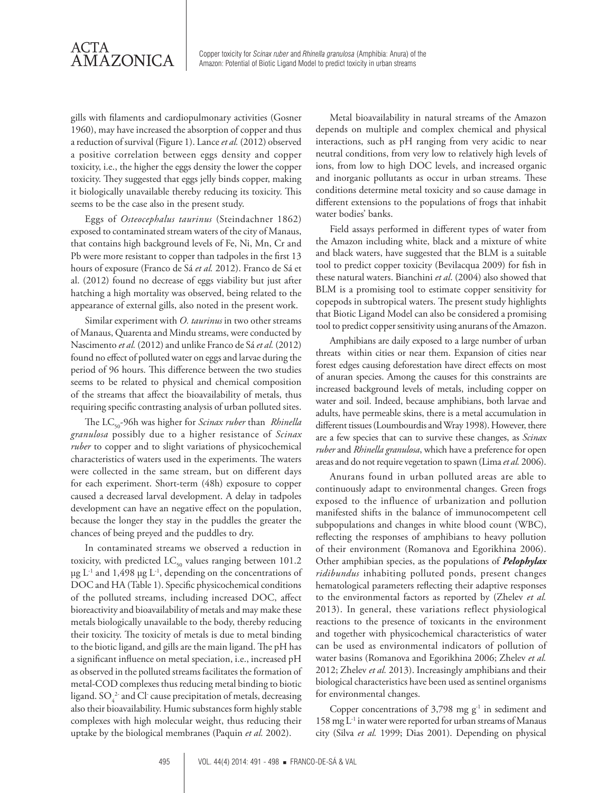gills with filaments and cardiopulmonary activities (Gosner 1960), may have increased the absorption of copper and thus a reduction of survival (Figure 1). Lance *et al.* (2012) observed a positive correlation between eggs density and copper toxicity, i.e., the higher the eggs density the lower the copper toxicity. They suggested that eggs jelly binds copper, making it biologically unavailable thereby reducing its toxicity. This seems to be the case also in the present study.

Eggs of *Osteocephalus taurinus* (Steindachner 1862) exposed to contaminated stream waters of the city of Manaus, that contains high background levels of Fe, Ni, Mn, Cr and Pb were more resistant to copper than tadpoles in the first 13 hours of exposure (Franco de Sá *et al.* 2012). Franco de Sá et al. (2012) found no decrease of eggs viability but just after hatching a high mortality was observed, being related to the appearance of external gills, also noted in the present work.

Similar experiment with *O. taurinus* in two other streams of Manaus, Quarenta and Mindu streams, were conducted by Nascimento *et al.* (2012) and unlike Franco de Sá *et al.* (2012) found no effect of polluted water on eggs and larvae during the period of 96 hours. This difference between the two studies seems to be related to physical and chemical composition of the streams that affect the bioavailability of metals, thus requiring specific contrasting analysis of urban polluted sites.

The LC<sub>50</sub>-96h was higher for *Scinax ruber* than *Rhinella granulosa* possibly due to a higher resistance of *Scinax ruber* to copper and to slight variations of physicochemical characteristics of waters used in the experiments. The waters were collected in the same stream, but on different days for each experiment. Short-term (48h) exposure to copper caused a decreased larval development. A delay in tadpoles development can have an negative effect on the population, because the longer they stay in the puddles the greater the chances of being preyed and the puddles to dry.

In contaminated streams we observed a reduction in toxicity, with predicted  $LC_{50}$  values ranging between 101.2  $\mu$ g L<sup>-1</sup> and 1,498  $\mu$ g L<sup>-1</sup>, depending on the concentrations of DOC and HA (Table 1). Specific physicochemical conditions of the polluted streams, including increased DOC, affect bioreactivity and bioavailability of metals and may make these metals biologically unavailable to the body, thereby reducing their toxicity. The toxicity of metals is due to metal binding to the biotic ligand, and gills are the main ligand. The pH has a significant influence on metal speciation, i.e., increased pH as observed in the polluted streams facilitates the formation of metal-COD complexes thus reducing metal binding to biotic ligand.  $SO_4^2$  and Cl cause precipitation of metals, decreasing also their bioavailability. Humic substances form highly stable complexes with high molecular weight, thus reducing their uptake by the biological membranes (Paquin *et al.* 2002).

Metal bioavailability in natural streams of the Amazon depends on multiple and complex chemical and physical interactions, such as pH ranging from very acidic to near neutral conditions, from very low to relatively high levels of ions, from low to high DOC levels, and increased organic and inorganic pollutants as occur in urban streams. These conditions determine metal toxicity and so cause damage in different extensions to the populations of frogs that inhabit water bodies' banks.

Field assays performed in different types of water from the Amazon including white, black and a mixture of white and black waters, have suggested that the BLM is a suitable tool to predict copper toxicity (Bevilacqua 2009) for fish in these natural waters. Bianchini *et al*. (2004) also showed that BLM is a promising tool to estimate copper sensitivity for copepods in subtropical waters. The present study highlights that Biotic Ligand Model can also be considered a promising tool to predict copper sensitivity using anurans of the Amazon.

Amphibians are daily exposed to a large number of urban threats within cities or near them. Expansion of cities near forest edges causing deforestation have direct effects on most of anuran species. Among the causes for this constraints are increased background levels of metals, including copper on water and soil. Indeed, because amphibians, both larvae and adults, have permeable skins, there is a metal accumulation in different tissues (Loumbourdis and Wray 1998). However, there are a few species that can to survive these changes, as *Scinax ruber* and *Rhinella granulosa*, which have a preference for open areas and do not require vegetation to spawn (Lima *et al.* 2006).

Anurans found in urban polluted areas are able to continuously adapt to environmental changes. Green frogs exposed to the influence of urbanization and pollution manifested shifts in the balance of immunocompetent cell subpopulations and changes in white blood count (WBC), reflecting the responses of amphibians to heavy pollution of their environment (Romanova and Egorikhina 2006). Other amphibian species, as the populations of *Pelophylax ridibundus* inhabiting polluted ponds, present changes hematological parameters reflecting their adaptive responses to the environmental factors as reported by (Zhelev *et al.* 2013). In general, these variations reflect physiological reactions to the presence of toxicants in the environment and together with physicochemical characteristics of water can be used as environmental indicators of pollution of water basins (Romanova and Egorikhina 2006; Zhelev *et al.* 2012; Zhelev *et al.* 2013). Increasingly amphibians and their biological characteristics have been used as sentinel organisms for environmental changes.

Copper concentrations of  $3,798$  mg  $g^{-1}$  in sediment and 158 mg  $L<sup>-1</sup>$  in water were reported for urban streams of Manaus city (Silva *et al.* 1999; Dias 2001). Depending on physical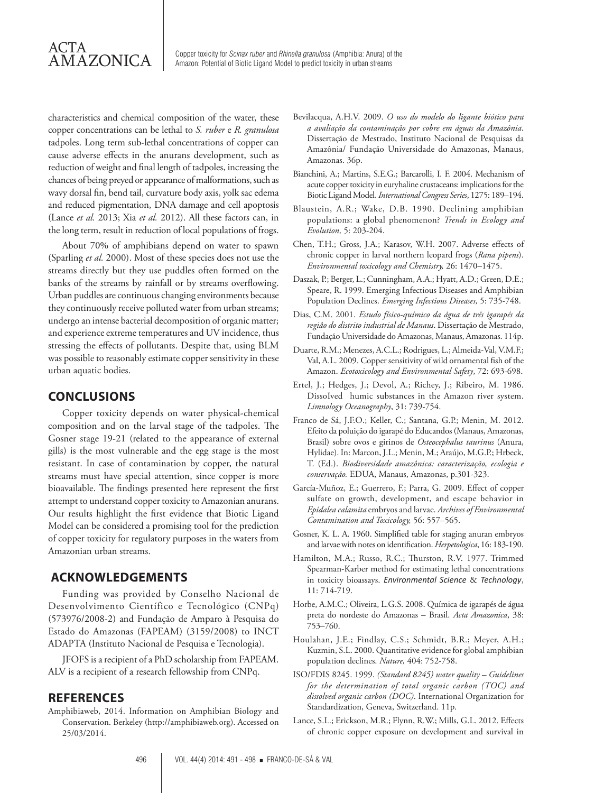characteristics and chemical composition of the water, these copper concentrations can be lethal to *S. ruber* e *R. granulosa* tadpoles. Long term sub-lethal concentrations of copper can cause adverse effects in the anurans development, such as reduction of weight and final length of tadpoles, increasing the chances of being preyed or appearance of malformations, such as wavy dorsal fin, bend tail, curvature body axis, yolk sac edema and reduced pigmentation, DNA damage and cell apoptosis (Lance *et al.* 2013; Xia *et al.* 2012). All these factors can, in the long term, result in reduction of local populations of frogs.

About 70% of amphibians depend on water to spawn (Sparling *et al.* 2000). Most of these species does not use the streams directly but they use puddles often formed on the banks of the streams by rainfall or by streams overflowing. Urban puddles are continuous changing environments because they continuously receive polluted water from urban streams; undergo an intense bacterial decomposition of organic matter; and experience extreme temperatures and UV incidence, thus stressing the effects of pollutants. Despite that, using BLM was possible to reasonably estimate copper sensitivity in these urban aquatic bodies.

## **CONCLUSIONS**

Copper toxicity depends on water physical-chemical composition and on the larval stage of the tadpoles. The Gosner stage 19-21 (related to the appearance of external gills) is the most vulnerable and the egg stage is the most resistant. In case of contamination by copper, the natural streams must have special attention, since copper is more bioavailable. The findings presented here represent the first attempt to understand copper toxicity to Amazonian anurans. Our results highlight the first evidence that Biotic Ligand Model can be considered a promising tool for the prediction of copper toxicity for regulatory purposes in the waters from Amazonian urban streams.

## **ACKNOWLEDGEMENTS**

Funding was provided by Conselho Nacional de Desenvolvimento Científico e Tecnológico (CNPq) (573976/2008-2) and Fundação de Amparo à Pesquisa do Estado do Amazonas (FAPEAM) (3159/2008) to INCT ADAPTA (Instituto Nacional de Pesquisa e Tecnologia).

JFOFS is a recipient of a PhD scholarship from FAPEAM. ALV is a recipient of a research fellowship from CNPq.

## **REFERENCES**

Amphibiaweb, 2014. Information on Amphibian Biology and Conservation. Berkeley (http://amphibiaweb.org). Accessed on 25/03/2014.

- Bevilacqua, A.H.V. 2009. *O uso do modelo do ligante biótico para a avaliação da contaminação por cobre em águas da Amazônia*. Dissertação de Mestrado, Instituto Nacional de Pesquisas da Amazônia/ Fundação Universidade do Amazonas, Manaus, Amazonas. 36p.
- Bianchini, A.; Martins, S.E.G.; Barcarolli, I. F. 2004. Mechanism of acute copper toxicity in euryhaline crustaceans: implications for the Biotic Ligand Model. *International Congress Series*, 1275: 189–194.
- Blaustein, A.R.; Wake, D.B. 1990. Declining amphibian populations: a global phenomenon? *Trends in Ecology and Evolution,* 5: 203-204.
- Chen, T.H.; Gross, J.A.; Karasov, W.H. 2007. Adverse effects of chronic copper in larval northern leopard frogs (*Rana pipens*). *Environmental toxicology and Chemistry,* 26: 1470–1475.
- Daszak, P.; Berger, L.; Cunningham, A.A.; Hyatt, A.D.; Green, D.E.; Speare, R. 1999. Emerging Infectious Diseases and Amphibian Population Declines. *Emerging Infectious Diseases,* 5: 735-748.
- Dias, C.M. 2001. *Estudo físico-químico da água de três igarapés da regiâo do distrito industrial de Manaus*. Dissertação de Mestrado, Fundação Universidade do Amazonas, Manaus, Amazonas. 114p.
- Duarte, R.M.; Menezes, A.C.L.; Rodrigues, L.; Almeida-Val, V.M.F.; Val, A.L. 2009. Copper sensitivity of wild ornamental fish of the Amazon. *Ecotoxicology and Environmental Safety*, 72: 693-698.
- Ertel, J.; Hedges, J.; Devol, A.; Richey, J.; Ribeiro, M. 1986. DissoIved humic substances in the Amazon river system. *Limnology Oceanography*, 31: 739-754.
- Franco de Sá, J.F.O.; Keller, C.; Santana, G.P.; Menin, M. 2012. Efeito da poluição do igarapé do Educandos (Manaus, Amazonas, Brasil) sobre ovos e girinos de *Osteocephalus taurinus* (Anura, Hylidae). In: Marcon, J.L.; Menin, M.; Araújo, M.G.P.; Hrbeck, T. (Ed.). *Biodiversidade amazônica: caracterização, ecologia e conservação.* EDUA, Manaus, Amazonas, p.301-323.
- García-Muñoz, E.; Guerrero, F.; Parra, G. 2009. Effect of copper sulfate on growth, development, and escape behavior in *Epidalea calamita* embryos and larvae. *Archives of Environmental Contamination and Toxicology,* 56: 557–565.
- Gosner, K. L. A. 1960. Simplified table for staging anuran embryos and larvae with notes on identification. *Herpetologica*, 16: 183-190.
- Hamilton, M.A.; Russo, R.C.; Thurston, R.V. 1977. Trimmed Spearman-Karber method for estimating lethal concentrations in toxicity bioassays. *Environmental Science* & *Technology*, 11: 714-719.
- Horbe, A.M.C.; Oliveira, L.G.S. 2008. Química de igarapés de água preta do nordeste do Amazonas – Brasil. *Acta Amazonica*, 38: 753–760.
- Houlahan, J.E.; Findlay, C.S.; Schmidt, B.R.; Meyer, A.H.; Kuzmin, S.L. 2000. Quantitative evidence for global amphibian population declines. *Nature,* 404: 752-758.
- ISO/FDIS 8245. 1999. *(Standard 8245) water quality Guidelines for the determination of total organic carbon (TOC) and dissolved organic carbon (DOC)*. International Organization for Standardization, Geneva, Switzerland. 11p.
- Lance, S.L.; Erickson, M.R.; Flynn, R.W.; Mills, G.L. 2012. Effects of chronic copper exposure on development and survival in